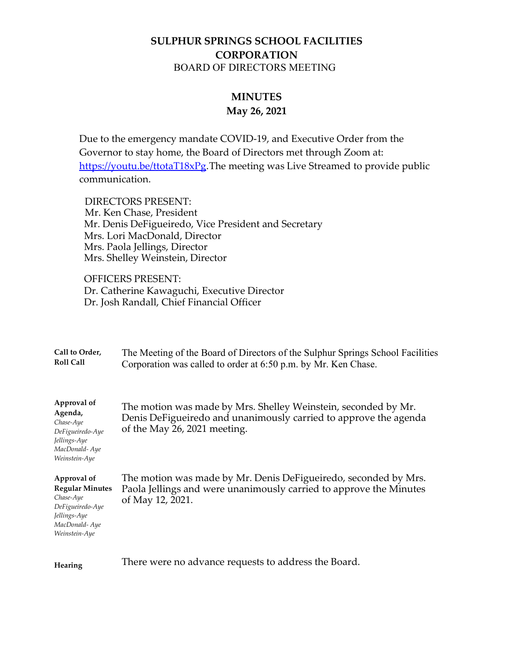## **SULPHUR SPRINGS SCHOOL FACILITIES CORPORATION** BOARD OF DIRECTORS MEETING

## **MINUTES May 26, 2021**

Due to the emergency mandate COVID-19, and Executive Order from the Governor to stay home, the Board of Directors met through Zoom at: [https://youtu.be/ttotaT18xPg.](https://youtu.be/ttotaT18xPg) The meeting was Live Streamed to provide public communication.

 DIRECTORS PRESENT: Mr. Ken Chase, President Mr. Denis DeFigueiredo, Vice President and Secretary Mrs. Lori MacDonald, Director Mrs. Paola Jellings, Director Mrs. Shelley Weinstein, Director

OFFICERS PRESENT: Dr. Catherine Kawaguchi, Executive Director Dr. Josh Randall, Chief Financial Officer

| Call to Order,<br><b>Roll Call</b>                                                                                       | The Meeting of the Board of Directors of the Sulphur Springs School Facilities<br>Corporation was called to order at 6:50 p.m. by Mr. Ken Chase.                   |
|--------------------------------------------------------------------------------------------------------------------------|--------------------------------------------------------------------------------------------------------------------------------------------------------------------|
| Approval of<br>Agenda,<br>Chase-Aye<br>DeFigueiredo-Aye<br>Jellings-Aye<br>MacDonald-Aye<br>Weinstein-Aye                | The motion was made by Mrs. Shelley Weinstein, seconded by Mr.<br>Denis DeFigueiredo and unanimously carried to approve the agenda<br>of the May 26, 2021 meeting. |
| Approval of<br><b>Regular Minutes</b><br>Chase-Aye<br>DeFigueiredo-Aye<br>Jellings-Aye<br>MacDonald-Aye<br>Weinstein-Aye | The motion was made by Mr. Denis DeFigueiredo, seconded by Mrs.<br>Paola Jellings and were unanimously carried to approve the Minutes<br>of May 12, 2021.          |
| <b>Hearing</b>                                                                                                           | There were no advance requests to address the Board.                                                                                                               |